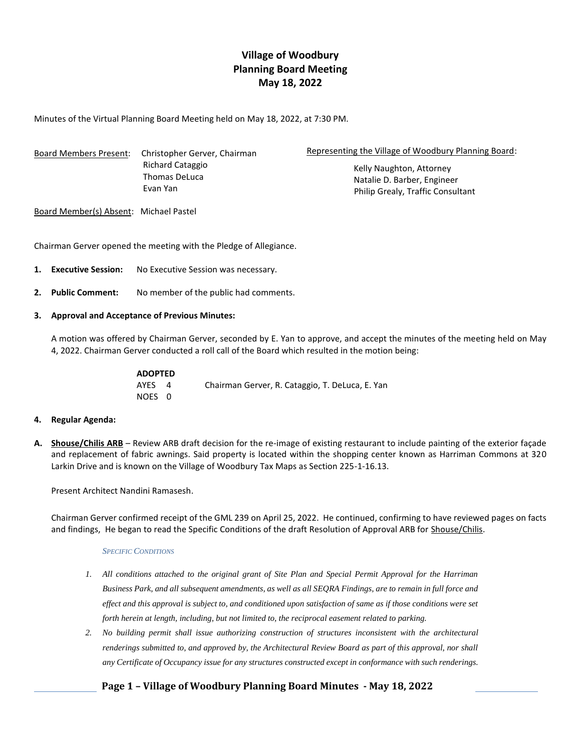# **Village of Woodbury Planning Board Meeting May 18, 2022**

Minutes of the Virtual Planning Board Meeting held on May 18, 2022, at 7:30 PM.

Board Members Present: Christopher Gerver, Chairman Richard Cataggio Thomas DeLuca Evan Yan

Representing the Village of Woodbury Planning Board:

Kelly Naughton, Attorney Natalie D. Barber, Engineer Philip Grealy, Traffic Consultant

Board Member(s) Absent: Michael Pastel

Chairman Gerver opened the meeting with the Pledge of Allegiance.

- **1. Executive Session:** No Executive Session was necessary.
- **2. Public Comment:** No member of the public had comments.

#### **3. Approval and Acceptance of Previous Minutes:**

A motion was offered by Chairman Gerver, seconded by E. Yan to approve, and accept the minutes of the meeting held on May 4, 2022. Chairman Gerver conducted a roll call of the Board which resulted in the motion being:

| <b>ADOPTED</b> |                                                 |
|----------------|-------------------------------------------------|
| AYES 4         | Chairman Gerver, R. Cataggio, T. DeLuca, E. Yan |
| NOES 0         |                                                 |

## **4. Regular Agenda:**

**A. Shouse/Chilis ARB** – Review ARB draft decision for the re-image of existing restaurant to include painting of the exterior façade and replacement of fabric awnings. Said property is located within the shopping center known as Harriman Commons at 320 Larkin Drive and is known on the Village of Woodbury Tax Maps as Section 225-1-16.13.

Present Architect Nandini Ramasesh.

Chairman Gerver confirmed receipt of the GML 239 on April 25, 2022. He continued, confirming to have reviewed pages on facts and findings, He began to read the Specific Conditions of the draft Resolution of Approval ARB for Shouse/Chilis.

#### *SPECIFIC CONDITIONS*

- *1. All conditions attached to the original grant of Site Plan and Special Permit Approval for the Harriman Business Park, and all subsequent amendments, as well as all SEQRA Findings, are to remain in full force and effect and this approval is subject to, and conditioned upon satisfaction of same as if those conditions were set forth herein at length, including, but not limited to, the reciprocal easement related to parking.*
- *2. No building permit shall issue authorizing construction of structures inconsistent with the architectural renderings submitted to, and approved by, the Architectural Review Board as part of this approval, nor shall any Certificate of Occupancy issue for any structures constructed except in conformance with such renderings.*

## **Page 1 – Village of Woodbury Planning Board Minutes - May 18, 2022**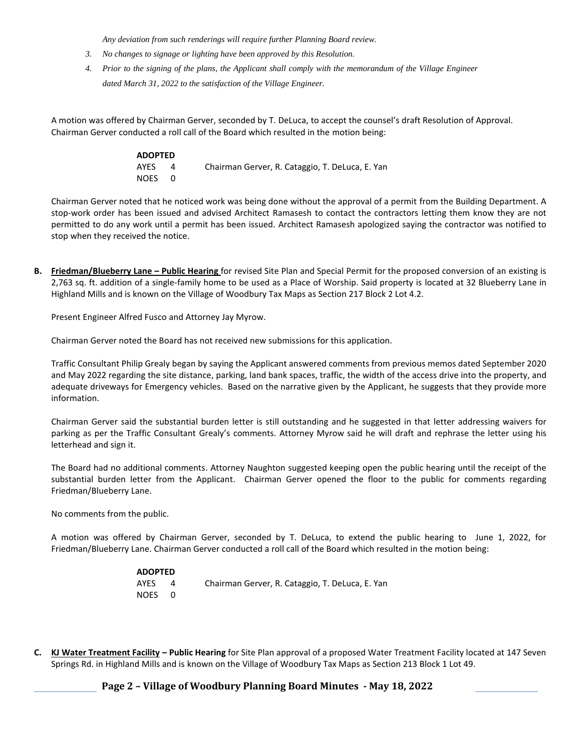*Any deviation from such renderings will require further Planning Board review.*

- *3. No changes to signage or lighting have been approved by this Resolution.*
- *4. Prior to the signing of the plans, the Applicant shall comply with the memorandum of the Village Engineer dated March 31, 2022 to the satisfaction of the Village Engineer.*

A motion was offered by Chairman Gerver, seconded by T. DeLuca, to accept the counsel's draft Resolution of Approval. Chairman Gerver conducted a roll call of the Board which resulted in the motion being:

| <b>ADOPTED</b> |     |                                                 |
|----------------|-----|-------------------------------------------------|
| AYES           |     | Chairman Gerver, R. Cataggio, T. DeLuca, E. Yan |
| NOES           | - റ |                                                 |

Chairman Gerver noted that he noticed work was being done without the approval of a permit from the Building Department. A stop-work order has been issued and advised Architect Ramasesh to contact the contractors letting them know they are not permitted to do any work until a permit has been issued. Architect Ramasesh apologized saying the contractor was notified to stop when they received the notice.

**B. Friedman/Blueberry Lane – Public Hearing** for revised Site Plan and Special Permit for the proposed conversion of an existing is 2,763 sq. ft. addition of a single-family home to be used as a Place of Worship. Said property is located at 32 Blueberry Lane in Highland Mills and is known on the Village of Woodbury Tax Maps as Section 217 Block 2 Lot 4.2.

Present Engineer Alfred Fusco and Attorney Jay Myrow.

Chairman Gerver noted the Board has not received new submissions for this application.

Traffic Consultant Philip Grealy began by saying the Applicant answered comments from previous memos dated September 2020 and May 2022 regarding the site distance, parking, land bank spaces, traffic, the width of the access drive into the property, and adequate driveways for Emergency vehicles. Based on the narrative given by the Applicant, he suggests that they provide more information.

Chairman Gerver said the substantial burden letter is still outstanding and he suggested in that letter addressing waivers for parking as per the Traffic Consultant Grealy's comments. Attorney Myrow said he will draft and rephrase the letter using his letterhead and sign it.

The Board had no additional comments. Attorney Naughton suggested keeping open the public hearing until the receipt of the substantial burden letter from the Applicant. Chairman Gerver opened the floor to the public for comments regarding Friedman/Blueberry Lane.

No comments from the public.

A motion was offered by Chairman Gerver, seconded by T. DeLuca, to extend the public hearing to June 1, 2022, for Friedman/Blueberry Lane. Chairman Gerver conducted a roll call of the Board which resulted in the motion being:

| <b>ADOPTED</b> |     |                                                 |
|----------------|-----|-------------------------------------------------|
| AYES           | Δ   | Chairman Gerver, R. Cataggio, T. DeLuca, E. Yan |
| NOES           | - റ |                                                 |

**C. KJ Water Treatment Facility – Public Hearing** for Site Plan approval of a proposed Water Treatment Facility located at 147 Seven Springs Rd. in Highland Mills and is known on the Village of Woodbury Tax Maps as Section 213 Block 1 Lot 49.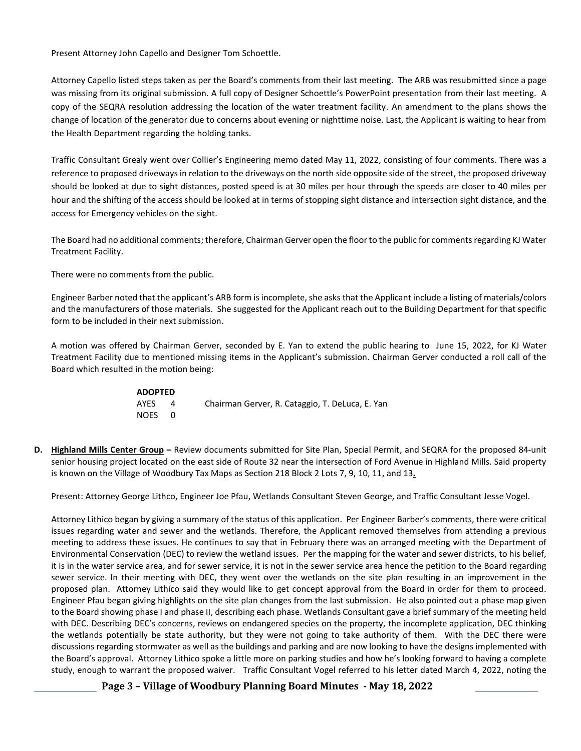Present Attorney John Capello and Designer Tom Schoettle.

Attorney Capello listed steps taken as per the Board's comments from their last meeting. The ARB was resubmitted since a page was missing from its original submission. A full copy of Designer Schoettle's PowerPoint presentation from their last meeting. A copy of the SEQRA resolution addressing the location of the water treatment facility. An amendment to the plans shows the change of location of the generator due to concerns about evening or nighttime noise. Last, the Applicant is waiting to hear from the Health Department regarding the holding tanks.

Traffic Consultant Grealy went over Collier's Engineering memo dated May 11, 2022, consisting of four comments. There was a reference to proposed driveways in relation to the driveways on the north side opposite side of the street, the proposed driveway should be looked at due to sight distances, posted speed is at 30 miles per hour through the speeds are closer to 40 miles per hour and the shifting of the access should be looked at in terms of stopping sight distance and intersection sight distance, and the access for Emergency vehicles on the sight.

The Board had no additional comments; therefore, Chairman Gerver open the floor to the public for comments regarding KJ Water Treatment Facility.

There were no comments from the public.

Engineer Barber noted that the applicant's ARB form is incomplete, she asks that the Applicant include a listing of materials/colors and the manufacturers of those materials. She suggested for the Applicant reach out to the Building Department for that specific form to be included in their next submission.

A motion was offered by Chairman Gerver, seconded by E. Yan to extend the public hearing to June 15, 2022, for KJ Water Treatment Facility due to mentioned missing items in the Applicant's submission. Chairman Gerver conducted a roll call of the Board which resulted in the motion being:

| ADOPTED |              |                                                 |
|---------|--------------|-------------------------------------------------|
| AYES    | $\Delta$     | Chairman Gerver, R. Cataggio, T. DeLuca, E. Yan |
| NOES    | $\mathsf{O}$ |                                                 |

**D. Highland Mills Center Group –** Review documents submitted for Site Plan, Special Permit, and SEQRA for the proposed 84-unit senior housing project located on the east side of Route 32 near the intersection of Ford Avenue in Highland Mills. Said property is known on the Village of Woodbury Tax Maps as Section 218 Block 2 Lots 7, 9, 10, 11, and 13**.**

Present: Attorney George Lithco, Engineer Joe Pfau, Wetlands Consultant Steven George, and Traffic Consultant Jesse Vogel.

Attorney Lithico began by giving a summary of the status of this application. Per Engineer Barber's comments, there were critical issues regarding water and sewer and the wetlands. Therefore, the Applicant removed themselves from attending a previous meeting to address these issues. He continues to say that in February there was an arranged meeting with the Department of Environmental Conservation (DEC) to review the wetland issues. Per the mapping for the water and sewer districts, to his belief, it is in the water service area, and for sewer service, it is not in the sewer service area hence the petition to the Board regarding sewer service. In their meeting with DEC, they went over the wetlands on the site plan resulting in an improvement in the proposed plan. Attorney Lithico said they would like to get concept approval from the Board in order for them to proceed. Engineer Pfau began giving highlights on the site plan changes from the last submission. He also pointed out a phase map given to the Board showing phase I and phase II, describing each phase. Wetlands Consultant gave a brief summary of the meeting held with DEC. Describing DEC's concerns, reviews on endangered species on the property, the incomplete application, DEC thinking the wetlands potentially be state authority, but they were not going to take authority of them. With the DEC there were discussions regarding stormwater as well as the buildings and parking and are now looking to have the designs implemented with the Board's approval. Attorney Lithico spoke a little more on parking studies and how he's looking forward to having a complete study, enough to warrant the proposed waiver. Traffic Consultant Vogel referred to his letter dated March 4, 2022, noting the

**Page 3 – Village of Woodbury Planning Board Minutes - May 18, 2022**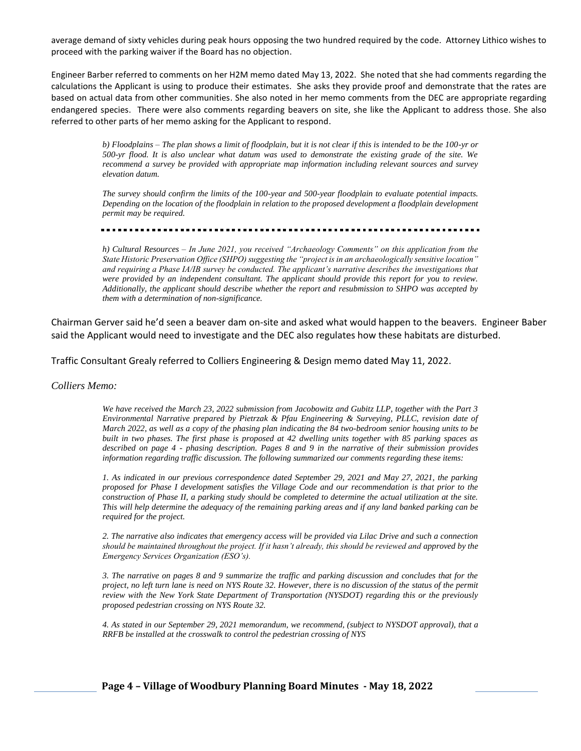average demand of sixty vehicles during peak hours opposing the two hundred required by the code. Attorney Lithico wishes to proceed with the parking waiver if the Board has no objection.

Engineer Barber referred to comments on her H2M memo dated May 13, 2022. She noted that she had comments regarding the calculations the Applicant is using to produce their estimates. She asks they provide proof and demonstrate that the rates are based on actual data from other communities. She also noted in her memo comments from the DEC are appropriate regarding endangered species. There were also comments regarding beavers on site, she like the Applicant to address those. She also referred to other parts of her memo asking for the Applicant to respond.

> *b) Floodplains – The plan shows a limit of floodplain, but it is not clear if this is intended to be the 100-yr or 500-yr flood. It is also unclear what datum was used to demonstrate the existing grade of the site. We recommend a survey be provided with appropriate map information including relevant sources and survey elevation datum.*

> *The survey should confirm the limits of the 100-year and 500-year floodplain to evaluate potential impacts. Depending on the location of the floodplain in relation to the proposed development a floodplain development permit may be required.*

*h) Cultural Resources – In June 2021, you received "Archaeology Comments" on this application from the State Historic Preservation Office (SHPO) suggesting the "project is in an archaeologically sensitive location" and requiring a Phase IA/IB survey be conducted. The applicant's narrative describes the investigations that were provided by an independent consultant. The applicant should provide this report for you to review. Additionally, the applicant should describe whether the report and resubmission to SHPO was accepted by them with a determination of non-significance.*

Chairman Gerver said he'd seen a beaver dam on-site and asked what would happen to the beavers. Engineer Baber said the Applicant would need to investigate and the DEC also regulates how these habitats are disturbed.

Traffic Consultant Grealy referred to Colliers Engineering & Design memo dated May 11, 2022.

*Colliers Memo:*

*We have received the March 23, 2022 submission from Jacobowitz and Gubitz LLP, together with the Part 3 Environmental Narrative prepared by Pietrzak & Pfau Engineering & Surveying, PLLC, revision date of March 2022, as well as a copy of the phasing plan indicating the 84 two-bedroom senior housing units to be built in two phases. The first phase is proposed at 42 dwelling units together with 85 parking spaces as described on page 4 - phasing description. Pages 8 and 9 in the narrative of their submission provides information regarding traffic discussion. The following summarized our comments regarding these items:* 

*1. As indicated in our previous correspondence dated September 29, 2021 and May 27, 2021, the parking proposed for Phase I development satisfies the Village Code and our recommendation is that prior to the construction of Phase II, a parking study should be completed to determine the actual utilization at the site. This will help determine the adequacy of the remaining parking areas and if any land banked parking can be required for the project.* 

*2. The narrative also indicates that emergency access will be provided via Lilac Drive and such a connection should be maintained throughout the project. If it hasn't already, this should be reviewed and approved by the Emergency Services Organization (ESO's).* 

*3. The narrative on pages 8 and 9 summarize the traffic and parking discussion and concludes that for the project, no left turn lane is need on NYS Route 32. However, there is no discussion of the status of the permit review with the New York State Department of Transportation (NYSDOT) regarding this or the previously proposed pedestrian crossing on NYS Route 32.* 

*4. As stated in our September 29, 2021 memorandum, we recommend, (subject to NYSDOT approval), that a RRFB be installed at the crosswalk to control the pedestrian crossing of NYS*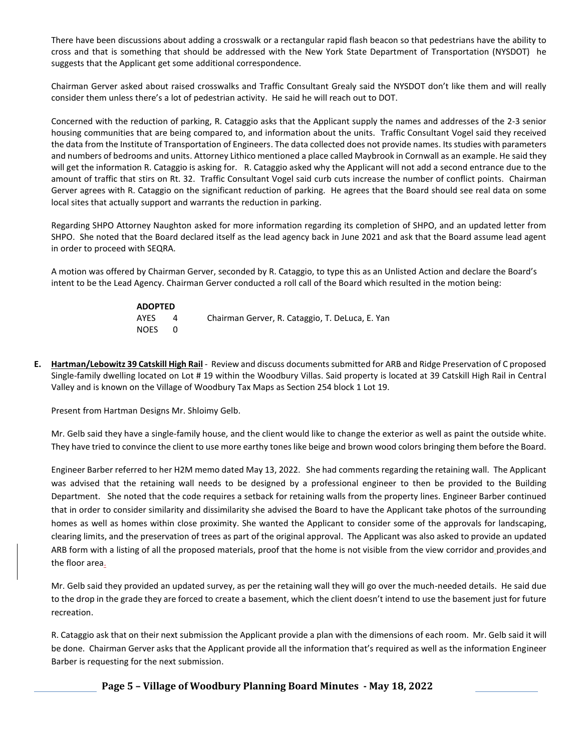There have been discussions about adding a crosswalk or a rectangular rapid flash beacon so that pedestrians have the ability to cross and that is something that should be addressed with the New York State Department of Transportation (NYSDOT) he suggests that the Applicant get some additional correspondence.

Chairman Gerver asked about raised crosswalks and Traffic Consultant Grealy said the NYSDOT don't like them and will really consider them unless there's a lot of pedestrian activity. He said he will reach out to DOT.

Concerned with the reduction of parking, R. Cataggio asks that the Applicant supply the names and addresses of the 2-3 senior housing communities that are being compared to, and information about the units. Traffic Consultant Vogel said they received the data from the Institute of Transportation of Engineers. The data collected does not provide names. Its studies with parameters and numbers of bedrooms and units. Attorney Lithico mentioned a place called Maybrook in Cornwall as an example. He said they will get the information R. Cataggio is asking for. R. Cataggio asked why the Applicant will not add a second entrance due to the amount of traffic that stirs on Rt. 32. Traffic Consultant Vogel said curb cuts increase the number of conflict points. Chairman Gerver agrees with R. Cataggio on the significant reduction of parking. He agrees that the Board should see real data on some local sites that actually support and warrants the reduction in parking.

Regarding SHPO Attorney Naughton asked for more information regarding its completion of SHPO, and an updated letter from SHPO. She noted that the Board declared itself as the lead agency back in June 2021 and ask that the Board assume lead agent in order to proceed with SEQRA.

A motion was offered by Chairman Gerver, seconded by R. Cataggio, to type this as an Unlisted Action and declare the Board's intent to be the Lead Agency. Chairman Gerver conducted a roll call of the Board which resulted in the motion being:

| <b>ADOPTED</b> |   |                                                 |
|----------------|---|-------------------------------------------------|
| AYES           | Δ | Chairman Gerver, R. Cataggio, T. DeLuca, E. Yan |
| NOES           |   |                                                 |

**E. Hartman/Lebowitz 39 Catskill High Rail** - Review and discuss documents submitted for ARB and Ridge Preservation of C proposed Single-family dwelling located on Lot # 19 within the Woodbury Villas. Said property is located at 39 Catskill High Rail in Central Valley and is known on the Village of Woodbury Tax Maps as Section 254 block 1 Lot 19.

Present from Hartman Designs Mr. Shloimy Gelb.

Mr. Gelb said they have a single-family house, and the client would like to change the exterior as well as paint the outside white. They have tried to convince the client to use more earthy tones like beige and brown wood colors bringing them before the Board.

Engineer Barber referred to her H2M memo dated May 13, 2022. She had comments regarding the retaining wall. The Applicant was advised that the retaining wall needs to be designed by a professional engineer to then be provided to the Building Department. She noted that the code requires a setback for retaining walls from the property lines. Engineer Barber continued that in order to consider similarity and dissimilarity she advised the Board to have the Applicant take photos of the surrounding homes as well as homes within close proximity. She wanted the Applicant to consider some of the approvals for landscaping, clearing limits, and the preservation of trees as part of the original approval. The Applicant was also asked to provide an updated ARB form with a listing of all the proposed materials, proof that the home is not visible from the view corridor and provides and the floor area.

Mr. Gelb said they provided an updated survey, as per the retaining wall they will go over the much-needed details. He said due to the drop in the grade they are forced to create a basement, which the client doesn't intend to use the basement just for future recreation.

R. Cataggio ask that on their next submission the Applicant provide a plan with the dimensions of each room. Mr. Gelb said it will be done. Chairman Gerver asks that the Applicant provide all the information that's required as well as the information Engineer Barber is requesting for the next submission.

**Page 5 – Village of Woodbury Planning Board Minutes - May 18, 2022**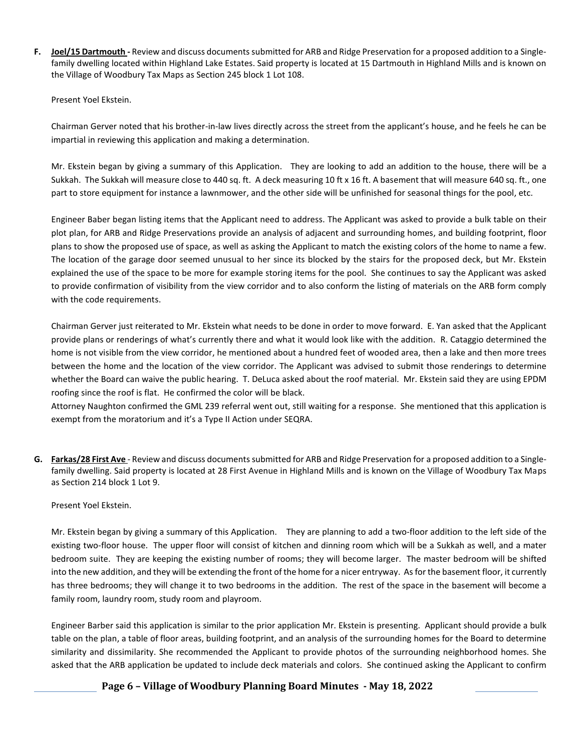**F. Joel/15 Dartmouth -** Review and discuss documents submitted for ARB and Ridge Preservation for a proposed addition to a Singlefamily dwelling located within Highland Lake Estates. Said property is located at 15 Dartmouth in Highland Mills and is known on the Village of Woodbury Tax Maps as Section 245 block 1 Lot 108.

Present Yoel Ekstein.

Chairman Gerver noted that his brother-in-law lives directly across the street from the applicant's house, and he feels he can be impartial in reviewing this application and making a determination.

Mr. Ekstein began by giving a summary of this Application. They are looking to add an addition to the house, there will be a Sukkah. The Sukkah will measure close to 440 sq. ft. A deck measuring 10 ft x 16 ft. A basement that will measure 640 sq. ft., one part to store equipment for instance a lawnmower, and the other side will be unfinished for seasonal things for the pool, etc.

Engineer Baber began listing items that the Applicant need to address. The Applicant was asked to provide a bulk table on their plot plan, for ARB and Ridge Preservations provide an analysis of adjacent and surrounding homes, and building footprint, floor plans to show the proposed use of space, as well as asking the Applicant to match the existing colors of the home to name a few. The location of the garage door seemed unusual to her since its blocked by the stairs for the proposed deck, but Mr. Ekstein explained the use of the space to be more for example storing items for the pool. She continues to say the Applicant was asked to provide confirmation of visibility from the view corridor and to also conform the listing of materials on the ARB form comply with the code requirements.

Chairman Gerver just reiterated to Mr. Ekstein what needs to be done in order to move forward. E. Yan asked that the Applicant provide plans or renderings of what's currently there and what it would look like with the addition. R. Cataggio determined the home is not visible from the view corridor, he mentioned about a hundred feet of wooded area, then a lake and then more trees between the home and the location of the view corridor. The Applicant was advised to submit those renderings to determine whether the Board can waive the public hearing. T. DeLuca asked about the roof material. Mr. Ekstein said they are using EPDM roofing since the roof is flat. He confirmed the color will be black.

Attorney Naughton confirmed the GML 239 referral went out, still waiting for a response. She mentioned that this application is exempt from the moratorium and it's a Type II Action under SEQRA.

**G. Farkas/28 First Ave** - Review and discuss documents submitted for ARB and Ridge Preservation for a proposed addition to a Singlefamily dwelling. Said property is located at 28 First Avenue in Highland Mills and is known on the Village of Woodbury Tax Maps as Section 214 block 1 Lot 9.

## Present Yoel Ekstein.

Mr. Ekstein began by giving a summary of this Application. They are planning to add a two-floor addition to the left side of the existing two-floor house. The upper floor will consist of kitchen and dinning room which will be a Sukkah as well, and a mater bedroom suite. They are keeping the existing number of rooms; they will become larger. The master bedroom will be shifted into the new addition, and they will be extending the front of the home for a nicer entryway. As for the basement floor, it currently has three bedrooms; they will change it to two bedrooms in the addition. The rest of the space in the basement will become a family room, laundry room, study room and playroom.

Engineer Barber said this application is similar to the prior application Mr. Ekstein is presenting. Applicant should provide a bulk table on the plan, a table of floor areas, building footprint, and an analysis of the surrounding homes for the Board to determine similarity and dissimilarity. She recommended the Applicant to provide photos of the surrounding neighborhood homes. She asked that the ARB application be updated to include deck materials and colors. She continued asking the Applicant to confirm

**Page 6 – Village of Woodbury Planning Board Minutes - May 18, 2022**